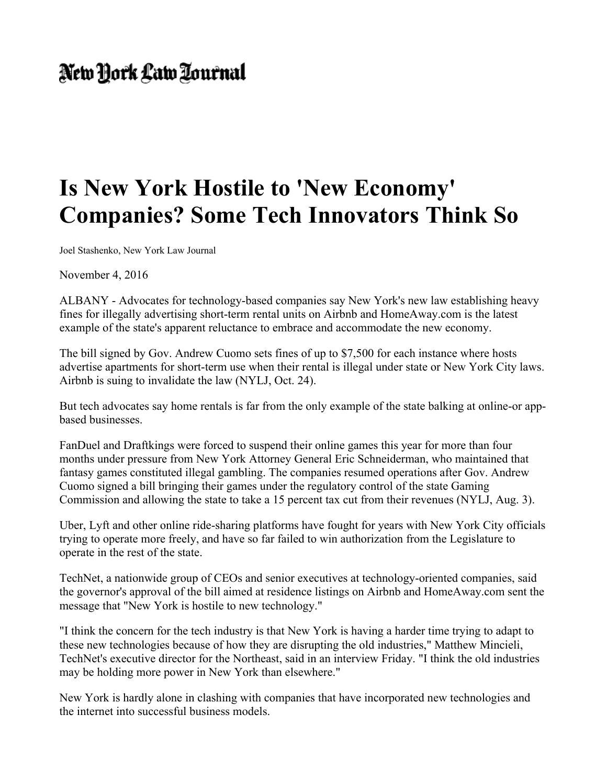## New York Law Lournal

## **Is New York Hostile to 'New Economy' Companies? Some Tech Innovators Think So**

Joel Stashenko, New York Law Journal

November 4, 2016

ALBANY - Advocates for technology-based companies say New York's new law establishing heavy fines for illegally advertising short-term rental units on Airbnb and HomeAway.com is the latest example of the state's apparent reluctance to embrace and accommodate the new economy.

The bill signed by Gov. Andrew Cuomo sets fines of up to \$7,500 for each instance where hosts advertise apartments for short-term use when their rental is illegal under state or New York City laws. Airbnb is suing to invalidate the law (NYLJ, Oct. 24).

But tech advocates say home rentals is far from the only example of the state balking at online-or appbased businesses.

FanDuel and Draftkings were forced to suspend their online games this year for more than four months under pressure from New York Attorney General Eric Schneiderman, who maintained that fantasy games constituted illegal gambling. The companies resumed operations after Gov. Andrew Cuomo signed a bill bringing their games under the regulatory control of the state Gaming Commission and allowing the state to take a 15 percent tax cut from their revenues (NYLJ, Aug. 3).

Uber, Lyft and other online ride-sharing platforms have fought for years with New York City officials trying to operate more freely, and have so far failed to win authorization from the Legislature to operate in the rest of the state.

TechNet, a nationwide group of CEOs and senior executives at technology-oriented companies, said the governor's approval of the bill aimed at residence listings on Airbnb and HomeAway.com sent the message that "New York is hostile to new technology."

"I think the concern for the tech industry is that New York is having a harder time trying to adapt to these new technologies because of how they are disrupting the old industries," Matthew Mincieli, TechNet's executive director for the Northeast, said in an interview Friday. "I think the old industries may be holding more power in New York than elsewhere."

New York is hardly alone in clashing with companies that have incorporated new technologies and the internet into successful business models.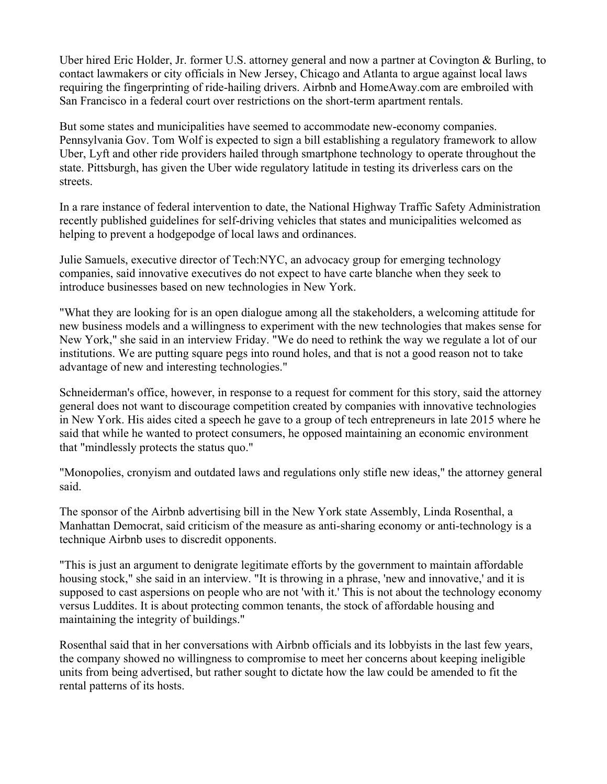Uber hired Eric Holder, Jr. former U.S. attorney general and now a partner at Covington & Burling, to contact lawmakers or city officials in New Jersey, Chicago and Atlanta to argue against local laws requiring the fingerprinting of ride-hailing drivers. Airbnb and HomeAway.com are embroiled with San Francisco in a federal court over restrictions on the short-term apartment rentals.

But some states and municipalities have seemed to accommodate new-economy companies. Pennsylvania Gov. Tom Wolf is expected to sign a bill establishing a regulatory framework to allow Uber, Lyft and other ride providers hailed through smartphone technology to operate throughout the state. Pittsburgh, has given the Uber wide regulatory latitude in testing its driverless cars on the streets.

In a rare instance of federal intervention to date, the National Highway Traffic Safety Administration recently published guidelines for self-driving vehicles that states and municipalities welcomed as helping to prevent a hodgepodge of local laws and ordinances.

Julie Samuels, executive director of Tech:NYC, an advocacy group for emerging technology companies, said innovative executives do not expect to have carte blanche when they seek to introduce businesses based on new technologies in New York.

"What they are looking for is an open dialogue among all the stakeholders, a welcoming attitude for new business models and a willingness to experiment with the new technologies that makes sense for New York," she said in an interview Friday. "We do need to rethink the way we regulate a lot of our institutions. We are putting square pegs into round holes, and that is not a good reason not to take advantage of new and interesting technologies."

Schneiderman's office, however, in response to a request for comment for this story, said the attorney general does not want to discourage competition created by companies with innovative technologies in New York. His aides cited a speech he gave to a group of tech entrepreneurs in late 2015 where he said that while he wanted to protect consumers, he opposed maintaining an economic environment that "mindlessly protects the status quo."

"Monopolies, cronyism and outdated laws and regulations only stifle new ideas," the attorney general said.

The sponsor of the Airbnb advertising bill in the New York state Assembly, Linda Rosenthal, a Manhattan Democrat, said criticism of the measure as anti-sharing economy or anti-technology is a technique Airbnb uses to discredit opponents.

"This is just an argument to denigrate legitimate efforts by the government to maintain affordable housing stock," she said in an interview. "It is throwing in a phrase, 'new and innovative,' and it is supposed to cast aspersions on people who are not 'with it.' This is not about the technology economy versus Luddites. It is about protecting common tenants, the stock of affordable housing and maintaining the integrity of buildings."

Rosenthal said that in her conversations with Airbnb officials and its lobbyists in the last few years, the company showed no willingness to compromise to meet her concerns about keeping ineligible units from being advertised, but rather sought to dictate how the law could be amended to fit the rental patterns of its hosts.